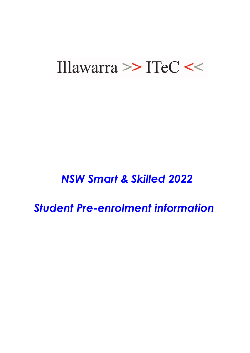# Illawarra  $\ge$  ITeC <<

## *NSW Smart & Skilled 2022*

*Student Pre-enrolment information*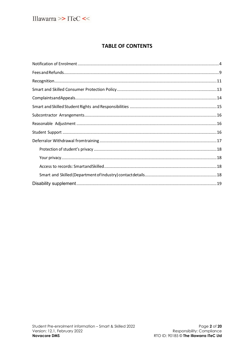

## **TABLE OF CONTENTS**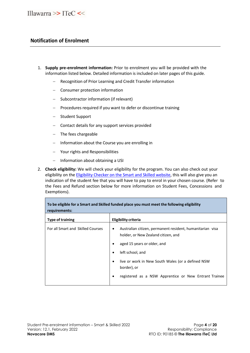## <span id="page-2-0"></span>**Notification of Enrolment**

- 1. **Supply pre-enrolment information:** Prior to enrolment you will be provided with the information listed below. Detailed information is included on later pages of this guide.
	- Recognition of Prior Learning and Credit Transfer information
	- − Consumer protection information
	- − Subcontractor information (if relevant)
	- − Procedures required if you want to defer or discontinue training
	- − Student Support
	- − Contact details for any support services provided
	- − The fees chargeable
	- − Information about the Course you are enrolling in
	- − Your rights and Responsibilities
	- − Information about obtaining a USI
- 2. **Check eligibility:** We will check your eligibility for the program. You can also check out your eligibility on the Eligibility Checker on the Smart [and Skilled](https://smartandskilled.nsw.gov.au/are-you-eligible) website, this will also give you an indication of the student fee that you will have to pay to enrol in your chosen course. (Refer to the Fees and Refund section below for more information on Student Fees, Concessions and Exemptions).

| To be eligible for a Smart and Skilled funded place you must meet the following eligibility<br>requirements: |                                                                                                       |  |
|--------------------------------------------------------------------------------------------------------------|-------------------------------------------------------------------------------------------------------|--|
| <b>Type of training</b>                                                                                      | Eligibility criteria                                                                                  |  |
| For all Smart and Skilled Courses                                                                            | Australian citizen, permanent resident, humanitarian visa<br>٠<br>holder, or New Zealand citizen, and |  |
|                                                                                                              | aged 15 years or older, and                                                                           |  |
|                                                                                                              | left school, and<br>٠                                                                                 |  |
|                                                                                                              | live or work in New South Wales (or a defined NSW<br>٠<br>border), or                                 |  |
|                                                                                                              | registered as a NSW Apprentice or New Entrant Trainee                                                 |  |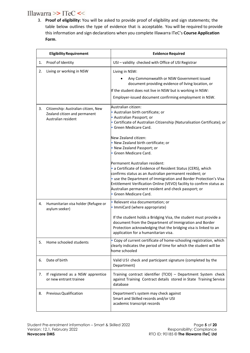## Illawarra >> ITeC <<

3. **Proof of eligibility:** You will be asked to provide proof of eligibility and sign statements; the table below outlines the type of evidence that is acceptable. You will be required to provide this information and sign declarations when you complete Illawarra ITeC's **Course Application Form**.

|    | <b>Eligibility Requirement</b>                                                               | <b>Evidence Required</b>                                                                                                                                                                                                                                                                                                                                                                                                                                                                                                                             |
|----|----------------------------------------------------------------------------------------------|------------------------------------------------------------------------------------------------------------------------------------------------------------------------------------------------------------------------------------------------------------------------------------------------------------------------------------------------------------------------------------------------------------------------------------------------------------------------------------------------------------------------------------------------------|
| 1. | Proof of Identity                                                                            | USI - validity checked with Office of USI Registrar                                                                                                                                                                                                                                                                                                                                                                                                                                                                                                  |
| 2. | Living or working in NSW                                                                     | Living in NSW:<br>Any Commonwealth or NSW Government issued<br>document providing evidence of living location, or<br>If the student does not live in NSW but is working in NSW:<br>Employer-issued document confirming employment in NSW.                                                                                                                                                                                                                                                                                                            |
| 3. | Citizenship: Australian citizen, New<br>Zealand citizen and permanent<br>Australian resident | Australian citizen:<br>· Australian birth certificate; or<br>· Australian Passport; or<br>• Certificate of Australian Citizenship (Naturalisation Certificate); or<br>· Green Medicare Card.<br>New Zealand citizen:<br>. New Zealand birth certificate; or<br>• New Zealand Passport; or<br>· Green Medicare Card.<br>Permanent Australian resident:<br>• a Certificate of Evidence of Resident Status (CERS), which<br>confirms status as an Australian permanent resident; or<br>· use the Department of Immigration and Border Protection's Visa |
|    |                                                                                              | Entitlement Verification Online (VEVO) facility to confirm status as<br>Australian permanent resident and check passport; or<br>• Green Medicare Card.                                                                                                                                                                                                                                                                                                                                                                                               |
| 4. | Humanitarian visa holder (Refugee or<br>asylum seeker)                                       | · Relevant visa documentation; or<br>• ImmiCard (where appropriate)                                                                                                                                                                                                                                                                                                                                                                                                                                                                                  |
|    |                                                                                              | If the student holds a Bridging Visa, the student must provide a<br>document from the Department of Immigration and Border<br>Protection acknowledging that the bridging visa is linked to an<br>application for a humanitarian visa.                                                                                                                                                                                                                                                                                                                |
| 5. | Home schooled students                                                                       | • Copy of current certificate of home-schooling registration, which<br>clearly indicates the period of time for which the student will be<br>home schooled                                                                                                                                                                                                                                                                                                                                                                                           |
| 6. | Date of birth                                                                                | Valid USI check and participant signature (completed by the<br>Department)                                                                                                                                                                                                                                                                                                                                                                                                                                                                           |
| 7. | If registered as a NSW apprentice<br>or new entrant trainee                                  | Training contract identifier (TCID) - Department System check<br>against Training Contract details stored in State Training Service<br>database                                                                                                                                                                                                                                                                                                                                                                                                      |
| 8. | <b>Previous Qualification</b>                                                                | Department's system may check against<br>Smart and Skilled records and/or USI<br>academic transcript records                                                                                                                                                                                                                                                                                                                                                                                                                                         |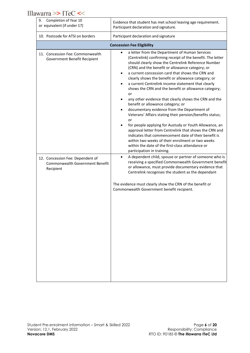Illawarra >> ITeC <<

| Completion of Year 10<br>9.<br>or equivalent (if under 17)                       | Evidence that student has met school leaving age requirement.<br>Participant declaration and signature.                                                                                                                                                                                                                                                                                                                                                                                                                                                                                                                                                                                                                                                                                                                                                                                                                                                                                                                                                                                                           |  |  |
|----------------------------------------------------------------------------------|-------------------------------------------------------------------------------------------------------------------------------------------------------------------------------------------------------------------------------------------------------------------------------------------------------------------------------------------------------------------------------------------------------------------------------------------------------------------------------------------------------------------------------------------------------------------------------------------------------------------------------------------------------------------------------------------------------------------------------------------------------------------------------------------------------------------------------------------------------------------------------------------------------------------------------------------------------------------------------------------------------------------------------------------------------------------------------------------------------------------|--|--|
| 10. Postcode for ATSI on borders                                                 | Participant declaration and signature                                                                                                                                                                                                                                                                                                                                                                                                                                                                                                                                                                                                                                                                                                                                                                                                                                                                                                                                                                                                                                                                             |  |  |
|                                                                                  | <b>Concession Fee Eligibility</b>                                                                                                                                                                                                                                                                                                                                                                                                                                                                                                                                                                                                                                                                                                                                                                                                                                                                                                                                                                                                                                                                                 |  |  |
| 11. Concession Fee: Commonwealth<br>Government Benefit Recipient                 | a letter from the Department of Human Services<br>$\bullet$<br>(Centrelink) confirming receipt of the benefit. The letter<br>should clearly show the Centrelink Reference Number<br>(CRN) and the benefit or allowance category; or<br>a current concession card that shows the CRN and<br>$\bullet$<br>clearly shows the benefit or allowance category; or<br>a current Centrelink income statement that clearly<br>$\bullet$<br>shows the CRN and the benefit or allowance category;<br>or<br>any other evidence that clearly shows the CRN and the<br>benefit or allowance category; or<br>documentary evidence from the Department of<br>$\bullet$<br>Veterans' Affairs stating their pension/benefits status;<br>or<br>for people applying for Austudy or Youth Allowance, an<br>approval letter from Centrelink that shows the CRN and<br>indicates that commencement date of their benefit is<br>within two weeks of their enrolment or two weeks<br>within the date of the first-class attendance or<br>participation in training.<br>A dependent child, spouse or partner of someone who is<br>$\bullet$ |  |  |
| 12. Concession Fee: Dependent of<br>Commonwealth Government Benefit<br>Recipient | receiving a specified Commonwealth Government benefit<br>or allowance, must provide documentary evidence that<br>Centrelink recognises the student as the dependant<br>The evidence must clearly show the CRN of the benefit or<br>Commonwealth Government benefit recipient.                                                                                                                                                                                                                                                                                                                                                                                                                                                                                                                                                                                                                                                                                                                                                                                                                                     |  |  |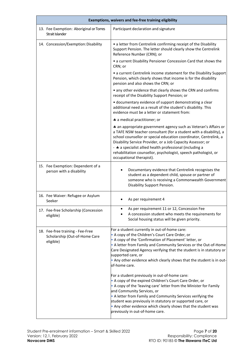| Exemptions, waivers and fee-free training eligibility                          |                                                                                                                                                                                                                                                                                                                                                                                                                                                                                                                                                                                                                                                                                                                                                                                                                                                                      |
|--------------------------------------------------------------------------------|----------------------------------------------------------------------------------------------------------------------------------------------------------------------------------------------------------------------------------------------------------------------------------------------------------------------------------------------------------------------------------------------------------------------------------------------------------------------------------------------------------------------------------------------------------------------------------------------------------------------------------------------------------------------------------------------------------------------------------------------------------------------------------------------------------------------------------------------------------------------|
| 13. Fee Exemption: Aboriginal or Torres<br>Strait Islander                     | Participant declaration and signature                                                                                                                                                                                                                                                                                                                                                                                                                                                                                                                                                                                                                                                                                                                                                                                                                                |
| 14. Concession/Exemption: Disability                                           | • a letter from Centrelink confirming receipt of the Disability<br>Support Pension. The letter should clearly show the Centrelink<br>Reference Number (CRN); or                                                                                                                                                                                                                                                                                                                                                                                                                                                                                                                                                                                                                                                                                                      |
|                                                                                | • a current Disability Pensioner Concession Card that shows the<br>CRN; or                                                                                                                                                                                                                                                                                                                                                                                                                                                                                                                                                                                                                                                                                                                                                                                           |
|                                                                                | • a current Centrelink income statement for the Disability Support<br>Pension, which clearly shows that income is for the disability<br>pension and also shows the CRN; or                                                                                                                                                                                                                                                                                                                                                                                                                                                                                                                                                                                                                                                                                           |
|                                                                                | • any other evidence that clearly shows the CRN and confirms<br>receipt of the Disability Support Pension; or                                                                                                                                                                                                                                                                                                                                                                                                                                                                                                                                                                                                                                                                                                                                                        |
|                                                                                | • documentary evidence of support demonstrating a clear<br>additional need as a result of the student's disability. This<br>evidence must be a letter or statement from:                                                                                                                                                                                                                                                                                                                                                                                                                                                                                                                                                                                                                                                                                             |
|                                                                                | * a medical practitioner; or                                                                                                                                                                                                                                                                                                                                                                                                                                                                                                                                                                                                                                                                                                                                                                                                                                         |
|                                                                                | * an appropriate government agency such as Veteran's Affairs or<br>a TAFE NSW teacher consultant (for a student with a disability), a<br>school counsellor or special education coordinator, Centrelink, a<br>Disability Service Provider, or a Job Capacity Assessor; or<br>- * a specialist allied health professional (including a<br>rehabilitation counsellor, psychologist, speech pathologist, or<br>occupational therapist).                                                                                                                                                                                                                                                                                                                                                                                                                                 |
| 15. Fee Exemption: Dependent of a<br>person with a disability                  | Documentary evidence that Centrelink recognises the<br>student as a dependent child, spouse or partner of<br>someone who is receiving a Commonwealth Government<br>Disability Support Pension.                                                                                                                                                                                                                                                                                                                                                                                                                                                                                                                                                                                                                                                                       |
| 16. Fee Waiver: Refugee or Asylum<br>Seeker                                    | As per requirement 4                                                                                                                                                                                                                                                                                                                                                                                                                                                                                                                                                                                                                                                                                                                                                                                                                                                 |
| 17. Fee-free Scholarship (Concession<br>eligible)                              | As per requirement 11 or 12, Concession Fee<br>A concession student who meets the requirements for<br>Social housing status will be given priority.                                                                                                                                                                                                                                                                                                                                                                                                                                                                                                                                                                                                                                                                                                                  |
| 18. Fee-free training - Fee-Free<br>Scholarship (Out-of-Home Care<br>eligible) | For a student currently in out-of-home care:<br>• A copy of the Children's Court Care Order, or<br>• A copy of the 'Confirmation of Placement' letter, or<br>• A letter from Family and Community Services or the Out-of-Home<br>Care Designated Agency verifying that the student is in statutory or<br>supported care, or<br>. Any other evidence which clearly shows that the student is in out-<br>of-home care.<br>For a student previously in out-of-home care:<br>• A copy of the expired Children's Court Care Order, or<br>• A copy of the 'leaving care' letter from the Minister for Family<br>and Community Services, or<br>• A letter from Family and Community Services verifying the<br>student was previously in statutory or supported care, or<br>. Any other evidence which clearly shows that the student was<br>previously in out-of-home care. |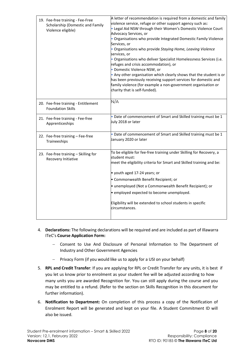| 19. Fee-free training - Fee-Free<br>Scholarship (Domestic and Family<br>Violence eligible) | A letter of recommendation is required from a domestic and family<br>violence service, refuge or other support agency such as:<br>. Legal Aid NSW through their Women's Domestic Violence Court<br>Advocacy Services, or<br>· Organisations who provide Integrated Domestic Family Violence<br>Services, or<br>• Organisations who provide Staying Home, Leaving Violence<br>services, or<br>. Organisations who deliver Specialist Homelessness Services (i.e.<br>refuges and crisis accommodation), or<br>· Domestic Violence NSW, or<br>. Any other organisation which clearly shows that the student is or<br>has been previously receiving support services for domestic and<br>family violence (for example a non-government organisation or<br>charity that is self-funded). |
|--------------------------------------------------------------------------------------------|-------------------------------------------------------------------------------------------------------------------------------------------------------------------------------------------------------------------------------------------------------------------------------------------------------------------------------------------------------------------------------------------------------------------------------------------------------------------------------------------------------------------------------------------------------------------------------------------------------------------------------------------------------------------------------------------------------------------------------------------------------------------------------------|
| 20. Fee-free training - Entitlement<br><b>Foundation Skills</b>                            | N/A                                                                                                                                                                                                                                                                                                                                                                                                                                                                                                                                                                                                                                                                                                                                                                                 |
| 21. Fee-free training - Fee-free<br>Apprenticeships                                        | . Date of commencement of Smart and Skilled training must be 1<br>July 2018 or later                                                                                                                                                                                                                                                                                                                                                                                                                                                                                                                                                                                                                                                                                                |
| 22. Fee-free training - Fee-free<br>Traineeships                                           | . Date of commencement of Smart and Skilled training must be 1<br>January 2020 or later                                                                                                                                                                                                                                                                                                                                                                                                                                                                                                                                                                                                                                                                                             |
| 23. Fee-free training - Skilling for<br>Recovery Initiative                                | To be eligible for fee-free training under Skilling for Recovery, a<br>student must:<br>meet the eligibility criteria for Smart and Skilled training and be:<br>$\bullet$ youth aged 17-24 years; or<br>• Commonwealth Benefit Recipient; or<br>• unemployed (Not a Commonwealth Benefit Recipient); or<br>. employed expected to become unemployed.<br>Eligibility will be extended to school students in specific<br>circumstances.                                                                                                                                                                                                                                                                                                                                               |

- 4. **Declarations:** The following declarations will be required and are included as part of Illawarra ITeC's **Course Application Form:**
	- − Consent to Use And Disclosure of Personal Information to The Department of Industry and Other Government Agencies
	- − Privacy Form (if you would like us to apply for a USI on your behalf)
- 5. **RPL and Credit Transfer**: If you are applying for RPL or Credit Transfer for any units, it is best if you let us know prior to enrolment as your student fee will be adjusted according to how many units you are awarded Recognition for. You can still apply during the course and you may be entitled to a refund. (Refer to the section on Skills Recognition in this document for further information).
- 6. **Notification to Department:** On completion of this process a copy of the Notification of Enrolment Report will be generated and kept on your file. A Student Commitment ID will also be issued.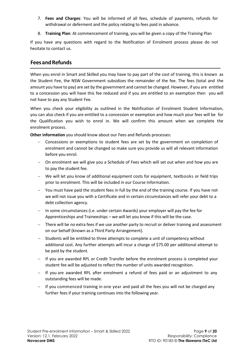- 7. **Fees and Charges**: You will be informed of all fees, schedule of payments, refunds for withdrawal or deferment and the policy relating to fees paid in advance.
- 8. **Training Plan**: At commencement of training, you will be given a copy of the Training Plan

If you have any questions with regard to the Notification of Enrolment process please do not hesitate to contact us.

## <span id="page-7-0"></span>**FeesandRefunds**

When you enrol in Smart and Skilled you may have to pay part of the cost of training, this is known as the Student Fee, the NSW Government subsidizes the remainder of the fee. The fees (total and the amount you have to pay) are set by the government and cannot be changed. However, if you are entitled to a concession you will have this fee reduced and if you are entitled to an exemption then you will not have to pay any Student Fee.

When you check your eligibility as outlined in the Notification of Enrolment Student Information, you can also check if you are entitled to a concession or exemption and how much your fees will be for the Qualification you wish to enrol in. We will confirm this amount when we complete the enrolment process.

**Other information** you should know about our Fees and Refunds processes:

- − Concessions or exemptions to student fees are set by the government on completion of enrolment and cannot be changed so make sure you provide us will all relevant information before you enrol.
- − On enrolment we will give you a Schedule of Fees which will set out when and how you are to pay the student fee.
- − We will let you know of additional equipment costs for equipment, textbooks or field trips prior to enrolment. This will be included in our Course Information.
- − You must have paid the student fees in full by the end of the training course. If you have not we will not issue you with a Certificate and in certain circumstances will refer your debt to a debt collection agency.
- − In some circumstances (i.e. under certain Awards) your employer will pay the fee for Apprenticeships and Traineeships – we will let you know if this will be the case.
- − There will be no extra fees if we use another party to recruit or deliver training and assessment on our behalf (known as a Third Party Arrangement).
- − Students will be entitled to three attempts to complete a unit of competency without additional cost. Any further attempts will incur a charge of \$75.00 per additional attempt to be paid by the student.
- − If you are awarded RPL or Credit Transfer before the enrolment process is completed your student fee will be adjusted to reflect the number of units awarded recognition.
- − If you are awarded RPL after enrolment a refund of fees paid or an adjustment to any outstanding fees will be made.
- − If you commenced training in one year and paid all the fees you will not be charged any further fees if your training continues into the following year.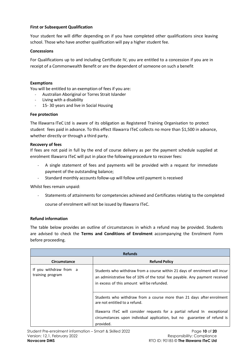## **First or Subsequent Qualification**

Your student fee will differ depending on if you have completed other qualifications since leaving school. Those who have another qualification will pay a higher student fee.

## **Concessions**

For Qualifications up to and including Certificate IV, you are entitled to a concession if you are in receipt of a Commonwealth Benefit or are the dependent of someone on such a benefit

## **Exemptions**

You will be entitled to an exemption of fees if you are:

- Australian Aboriginal or Torres Strait Islander
- Living with a disability
- 15- 30 years and live in Social Housing

## **Fee protection**

The Illawarra ITeC Ltd is aware of its obligation as Registered Training Organisation to protect student fees paid in advance. To this effect Illawarra ITeC collects no more than \$1,500 in advance, whether directly or through a third party.

## **Recovery of fees**

If fees are not paid in full by the end of course delivery as per the payment schedule supplied at enrolment Illawarra ITeC will put in place the following procedure to recover fees:

- A single statement of fees and payments will be provided with a request for immediate payment of the outstanding balance;
- Standard monthly accounts follow-up will follow until payment is received

Whilst fees remain unpaid:

- Statements of attainments for competencies achieved and Certificates relating to the completed

course of enrolment will not be issued by Illawarra ITeC.

## **Refund information**

The table below provides an outline of circumstances in which a refund may be provided. Students are advised to check the **Terms and Conditions of Enrolment** accompanying the Enrolment Form before proceeding.

| <b>Refunds</b>                                                                                                                                                                                                                                                  |  |
|-----------------------------------------------------------------------------------------------------------------------------------------------------------------------------------------------------------------------------------------------------------------|--|
| <b>Refund Policy</b>                                                                                                                                                                                                                                            |  |
| Students who withdraw from a course within 21 days of enrolment will incur<br>an administrative fee of 10% of the total fee payable. Any payment received<br>in excess of this amount will be refunded.                                                         |  |
| Students who withdraw from a course more than 21 days after enrolment<br>are not entitled to a refund.<br>Illawarra ITeC will consider requests for a partial refund In exceptional<br>circumstances upon individual application, but no guarantee of refund is |  |
|                                                                                                                                                                                                                                                                 |  |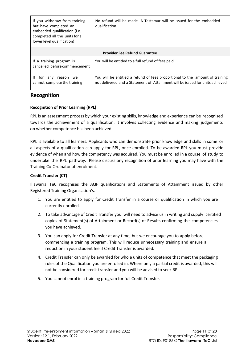| If you withdraw from training<br>but have completed an<br>embedded qualification (i.e.<br>completed all the units for a<br>lower level qualification) | No refund will be made. A Testamur will be issued for the embedded<br>qualification.                                                                          |  |
|-------------------------------------------------------------------------------------------------------------------------------------------------------|---------------------------------------------------------------------------------------------------------------------------------------------------------------|--|
| <b>Provider Fee Refund Guarantee</b>                                                                                                                  |                                                                                                                                                               |  |
| If a training program is<br>cancelled before commencement                                                                                             | You will be entitled to a full refund of fees paid                                                                                                            |  |
| ١f<br>tor<br>any<br>reason<br>we<br>cannot complete the training                                                                                      | You will be entitled a refund of fees proportional to the amount of training<br>not delivered and a Statement of Attainment will be issued for units achieved |  |

## <span id="page-9-0"></span>**Recognition**

## **Recognition of Prior Learning (RPL)**

RPL is an assessment process by which your existing skills, knowledge and experience can be recognised towards the achievement of a qualification. It involves collecting evidence and making judgements on whether competence has been achieved.

RPL is available to all learners. Applicants who can demonstrate prior knowledge and skills in some or all aspects of a qualification can apply for RPL, once enrolled. To be awarded RPL you must provide evidence of when and how the competency was acquired. You must be enrolled in a course of study to undertake the RPL pathway. Please discuss any recognition of prior learning you may have with the Training Co-Ordinator at enrolment.

## **Credit Transfer (CT)**

Illawarra ITeC recognises the AQF qualifications and Statements of Attainment issued by other Registered Training Organisation's.

- 1. You are entitled to apply for Credit Transfer in a course or qualification in which you are currently enrolled.
- 2. To take advantage of Credit Transfer you will need to advise us in writing and supply certified copies of Statement(s) of Attainment or Record(s) of Results confirming the competencies you have achieved.
- 3. You can apply for Credit Transfer at any time, but we encourage you to apply before commencing a training program. This will reduce unnecessary training and ensure a reduction in your student fee if Credit Transfer is awarded.
- 4. Credit Transfer can only be awarded for whole units of competence that meet the packaging rules of the Qualification you are enrolled in. Where only a partial credit is awarded, this will not be considered for credit transfer and you will be advised to seek RPL.
- 5. You cannot enrol in a training program for full Credit Transfer.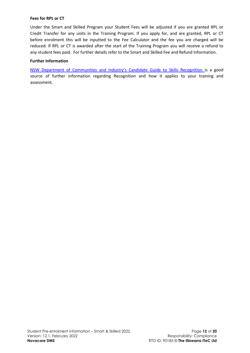### **Fees for RPL or CT**

Under the Smart and Skilled Program your Student Fees will be adjusted if you are granted RPL or Credit Transfer for any units in the Training Program. If you apply for, and are granted, RPL or CT before enrolment this will be inputted to the Fee Calculator and the fee you are charged will be reduced. If RPL or CT is awarded after the start of the Training Program you will receive a refund to any student fees paid. For further details refer to the Smart and Skilled Fee and Refund Information.

## **Further Information**

NSW Department of [Communities](http://www.training.nsw.gov.au/forms_documents/industry_programs/skillsonline/rpl_candidate_guide.pdf) and Industry's Candidate Guide to Skills Recognition is a good source of further information regarding Recognition and how it applies to your training and assessment.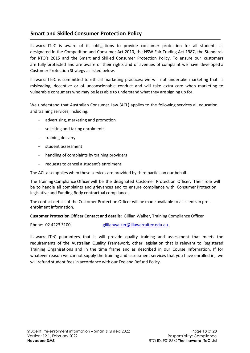## <span id="page-11-0"></span>**Smart and Skilled Consumer Protection Policy**

Illawarra ITeC is aware of its obligations to provide consumer protection for all students as designated in the Competition and Consumer Act 2010, the NSW Fair Trading Act 1987, the Standards for RTO's 2015 and the Smart and Skilled Consumer Protection Policy. To ensure our customers are fully protected and are aware or their rights and of avenues of complaint we have developed a Customer Protection Strategy as listed below.

Illawarra ITeC is committed to ethical marketing practices; we will not undertake marketing that is misleading, deceptive or of unconscionable conduct and will take extra care when marketing to vulnerable consumers who may be less able to understand what they are signing up for.

We understand that Australian Consumer Law (ACL) applies to the following services all education and training services, including:

- − advertising, marketing and promotion
- − soliciting and taking enrolments
- − training delivery
- − student assessment
- − handling of complaints by training providers
- − requests to cancel a student's enrolment.

The ACL also applies when these services are provided by third parties on our behalf.

The Training Compliance Officer will be the designated Customer Protection Officer. Their role will be to handle all complaints and grievances and to ensure compliance with Consumer Protection legislative and Funding Body contractual compliance.

The contact details of the Customer Protection Officer will be made available to all clients in preenrolment information.

**Customer Protection Officer Contact and details:** Gillian Walker, Training Compliance Officer

Phone: 02 4223 3100 [gillianwalker@illawarraitec.edu.au](mailto:gillianwalker@illawarraitec.edu.au)

Illawarra ITeC guarantees that it will provide quality training and assessment that meets the requirements of the Australian Quality Framework, other legislation that is relevant to Registered Training Organisations and in the time frame and as described in our Course Information. If for whatever reason we cannot supply the training and assessment services that you have enrolled in, we will refund student fees in accordance with our Fee and Refund Policy.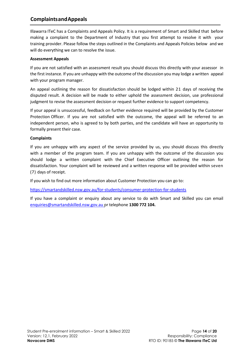## <span id="page-12-0"></span>**ComplaintsandAppeals**

Illawarra ITeC has a Complaints and Appeals Policy. It is a requirement of Smart and Skilled that before making a complaint to the Department of Industry that you first attempt to resolve it with your training provider. Please follow the steps outlined in the Complaints and Appeals Policies below and we will do everything we can to resolve the issue.

## **Assessment Appeals**

If you are not satisfied with an assessment result you should discuss this directly with your assessor in the first instance. If you are unhappy with the outcome of the discussion you may lodge a written appeal with your program manager.

An appeal outlining the reason for dissatisfaction should be lodged within 21 days of receiving the disputed result. A decision will be made to either uphold the assessment decision, use professional judgment to revise the assessment decision or request further evidence to support competency.

If your appeal is unsuccessful, feedback on further evidence required will be provided by the Customer Protection Officer. If you are not satisfied with the outcome, the appeal will be referred to an independent person, who is agreed to by both parties, and the candidate will have an opportunity to formally present their case.

## **Complaints**

If you are unhappy with any aspect of the service provided by us, you should discuss this directly with a member of the program team. If you are unhappy with the outcome of the discussion you should lodge a written complaint with the Chief Executive Officer outlining the reason for dissatisfaction. Your complaint will be reviewed and a written response will be provided within seven (7) days of receipt.

If you wish to find out more information about Customer Protection you can go to:

<https://smartandskilled.nsw.gov.au/for-students/consumer-protection-for-students>

If you have a complaint or enquiry about any service to do with Smart and Skilled you can email [enquiries@smartandskilled.nsw.gov.au](mailto:enquiries@smartandskilled.nsw.gov.au) or telephone **1300 772 104.**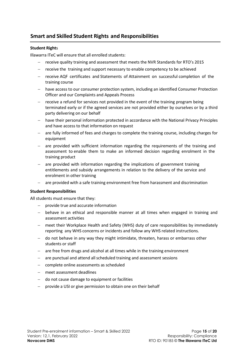## <span id="page-13-0"></span>**Smart and Skilled Student Rights and Responsibilities**

## **Student Right**s

Illawarra ITeC will ensure that all enrolled students:

- − receive quality training and assessment that meets the NVR Standards for RTO's 2015
- − receive the training and support necessary to enable competency to be achieved
- − receive AQF certificates and Statements of Attainment on successful completion of the training course
- − have access to our consumer protection system, including an identified Consumer Protection Officer and our Complaints and Appeals Process
- − receive a refund for services not provided in the event of the training program being terminated early or if the agreed services are not provided either by ourselves or by a third party delivering on our behalf
- − have their personal information protected in accordance with the National Privacy Principles and have access to that information on request
- − are fully informed of fees and charges to complete the training course, including charges for equipment
- − are provided with sufficient information regarding the requirements of the training and assessment to enable them to make an informed decision regarding enrolment in the training product
- − are provided with information regarding the implications of government training entitlements and subsidy arrangements in relation to the delivery of the service and enrolment in other training
- are provided with a safe training environment free from harassment and discrimination

#### **Student Responsibilities**

All students must ensure that they:

- − provide true and accurate information
- − behave in an ethical and responsible manner at all times when engaged in training and assessment activities
- − meet their Workplace Health and Safety (WHS) duty of care responsibilities by immediately reporting any WHS concerns or incidents and follow any WHS related instructions.
- − do not behave in any way they might intimidate, threaten, harass or embarrass other students or staff
- − are free from drugs and alcohol at all times while in the training environment
- are punctual and attend all scheduled training and assessment sessions
- − complete online assessments as scheduled
- − meet assessment deadlines
- − do not cause damage to equipment or facilities
- − provide a USI or give permission to obtain one on their behalf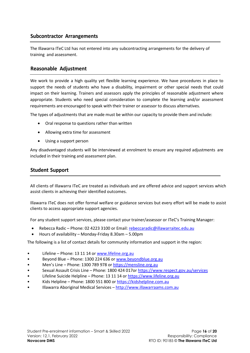## <span id="page-14-0"></span>**Subcontractor Arrangements**

The Illawarra ITeC Ltd has not entered into any subcontracting arrangements for the delivery of training and assessment.

## <span id="page-14-1"></span>**Reasonable Adjustment**

We work to provide a high quality yet flexible learning experience. We have procedures in place to support the needs of students who have a disability, impairment or other special needs that could impact on their learning. Trainers and assessors apply the principles of reasonable adjustment where appropriate. Students who need special consideration to complete the learning and/or assessment requirements are encouraged to speak with their trainer or assessor to discuss alternatives.

The types of adjustments that are made must be within our capacity to provide them and include:

- Oral response to questions rather than written
- Allowing extra time for assessment
- Using a support person

Any disadvantaged students will be interviewed at enrolment to ensure any required adjustments are included in their training and assessment plan.

## <span id="page-14-2"></span>**Student Support**

All clients of Illawarra ITeC are treated as individuals and are offered advice and support services which assist clients in achieving their identified outcomes.

Illawarra ITeC does not offer formal welfare or guidance services but every effort will be made to assist clients to access appropriate support agencies.

For any student support services, please contact your trainer/assessor or ITeC's Training Manager:

- Rebecca Radic Phone: 02 4223 3100 or Email: [rebeccaradic@illawarraitec.edu.au](mailto:rebeccaradic@illawarraitec.edu.au)
- Hours of availability Monday-Friday 8.30am 5.00pm

The following is a list of contact details for community information and support in the region:

- Lifeline Phone: 13 11 14 o[r www.lifeline.org.au](http://www.lifeline.org.au/)
- Beyond Blue Phone: 1300 224 636 or [www.beyondblue.org.au](http://www.beyondblue.org.au/)
- Men's Line Phone: 1300 789 978 o[r https://mensline.org.au](https://mensline.org.au/)
- Sexual Assault Crisis Line Phone: 1800 424 017o[r https://www.respect.gov.au/services](https://www.respect.gov.au/services)
- Lifeline Suicide Helpline Phone: 13 11 14 o[r https://www.lifeline.org.au](https://www.lifeline.org.au/)
- Kids Helpline Phone: 1800 551 800 o[r https://kidshelpline.com.au](https://kidshelpline.com.au/)
- Illawarra Aboriginal Medical Services [http://www.illawarraams.com.au](http://www.illawarraams.com.au/)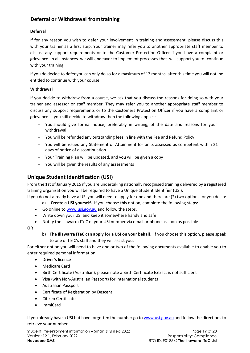## <span id="page-15-0"></span>**Deferral**

If for any reason you wish to defer your involvement in training and assessment, please discuss this with your trainer as a first step. Your trainer may refer you to another appropriate staff member to discuss any support requirements or to the Customer Protection Officer if you have a complaint or grievance. In all instances we will endeavor to implement processes that will support you to continue with your training.

If you do decide to defer you can only do so for a maximum of 12 months, after this time you will not be entitled to continue with your course.

## **Withdrawal**

If you decide to withdraw from a course, we ask that you discuss the reasons for doing so with your trainer and assessor or staff member. They may refer you to another appropriate staff member to discuss any support requirements or to the Customers Protection Officer if you have a complaint or grievance. If you still decide to withdraw then the following applies:

- − You should give formal notice, preferably in writing, of the date and reasons for your withdrawal
- − You will be refunded any outstanding fees in line with the Fee and Refund Policy
- − You will be issued any Statement of Attainment for units assessed as competent within 21 days of notice of discontinuation
- − Your Training Plan will be updated, and you will be given a copy
- − You will be given the results of any assessments

## **Unique Student Identification (USI)**

From the 1st of January 2015 if you are undertaking nationally recognised training delivered by a registered training organisation you will be required to have a Unique Student Identifier (USI).

If you do not already have a USI you will need to apply for one and there are (2) two options for you do so:

- a) **Create a USI yourself.** If you choose this option, complete the following steps:
- Go online t[o www.usi.gov.au](http://www.usi.gov.au/) and follow the steps.
- Write down your USI and keep it somewhere handy and safe
- Notify the Illawarra ITeC of your USI number via email or phone as soon as possible

**OR**

b) **The Illawarra ITeC can apply for a USI on your behalf.** If you choose this option, please speak to one of ITeC's staff and they will assist you.

For either option you will need to have one or two of the following documents available to enable you to enter required personal information:

- Driver's licence
- Medicare Card
- Birth Certificate (Australian), please note a Birth Certificate Extract is not sufficient
- Visa (with Non-Australian Passport) for international students
- Australian Passport
- Certificate of Registration by Descent
- Citizen Certificate
- ImmiCard

If you already have a USI but have forgotten the number go t[o www.usi.gov.au](http://www.usi.gov.au/) and follow the directions to retrieve your number.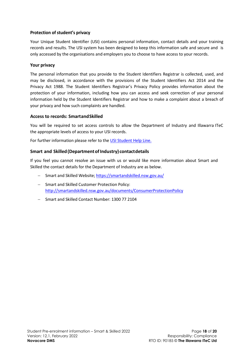## <span id="page-16-0"></span>**Protection of student's privacy**

Your Unique Student Identifier (USI) contains personal information, contact details and your training records and results. The USI system has been designed to keep this information safe and secure and is only accessed by the organisations and employers you to choose to have access to your records.

## <span id="page-16-1"></span>**Your privacy**

The personal information that you provide to the Student Identifiers Registrar is collected, used, and may be disclosed, in accordance with the provisions of the Student Identifiers Act 2014 and the Privacy Act 1988. The Student Identifiers Registrar's Privacy Policy provides information about the protection of your information, including how you can access and seek correction of your personal information held by the Student Identifiers Registrar and how to make a complaint about a breach of your privacy and how such complaints are handled.

## <span id="page-16-2"></span>**Access to records: SmartandSkilled**

You will be required to set access controls to allow the Department of Industry and Illawarra ITeC the appropriate levels of access to your USI records.

For further information please refer to the USI Student [Help Line.](http://www.usi.gov.au/help-centre/student-help/Pages/default.aspx)

## <span id="page-16-3"></span>**Smart and Skilled(DepartmentofIndustry) contactdetails**

If you feel you cannot resolve an issue with us or would like more information about Smart and Skilled the contact details for the Department of Industry are as below.

- − Smart and Skilled Website;<https://smartandskilled.nsw.gov.au/>
- − Smart and Skilled Customer Protection Policy: <http://smartandskilled.nsw.gov.au/documents/ConsumerProtectionPolicy>
- − Smart and Skilled Contact Number: 1300 77 2104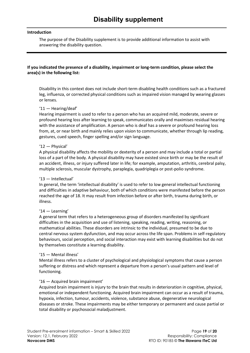#### <span id="page-17-0"></span>**Introduction**

The purpose of the Disability supplement is to provide additional information to assist with answering the disability question.

## **If you indicated the presence of a disability, impairment or long-term condition, please select the area(s) in the following list:**

Disability in this context does not include short-term disabling health conditions such as a fractured leg, influenza, or corrected physical conditions such as impaired vision managed by wearing glasses or lenses.

## '11 — Hearing/deaf'

Hearing impairment is used to refer to a person who has an acquired mild, moderate, severe or profound hearing loss after learning to speak, communicates orally and maximises residual hearing with the assistance of amplification. A person who is deaf has a severe or profound hearing loss from, at, or near birth and mainly relies upon vision to communicate, whether through lip reading, gestures, cued speech, finger spelling and/or sign language.

#### '12 — Physical'

A physical disability affects the mobility or dexterity of a person and may include a total or partial loss of a part of the body. A physical disability may have existed since birth or may be the result of an accident, illness, or injury suffered later in life; for example, amputation, arthritis, cerebral palsy, multiple sclerosis, muscular dystrophy, paraplegia, quadriplegia or post-polio syndrome.

#### '13 — Intellectual'

In general, the term 'intellectual disability' is used to refer to low general intellectual functioning and difficulties in adaptive behaviour, both of which conditions were manifested before the person reached the age of 18. It may result from infection before or after birth, trauma during birth, or illness.

#### '14 — Learning'

A general term that refers to a heterogeneous group of disorders manifested by significant difficulties in the acquisition and use of listening, speaking, reading, writing, reasoning, or mathematical abilities. These disorders are intrinsic to the individual, presumed to be due to central nervous system dysfunction, and may occur across the life span. Problems in self-regulatory behaviours, social perception, and social interaction may exist with learning disabilities but do not by themselves constitute a learning disability.

#### '15 — Mental illness'

Mental illness refers to a cluster of psychological and physiological symptoms that cause a person suffering or distress and which represent a departure from a person's usual pattern and level of functioning.

## '16 — Acquired brain impairment'

Acquired brain impairment is injury to the brain that results in deterioration in cognitive, physical, emotional or independent functioning. Acquired brain impairment can occur as a result of trauma, hypoxia, infection, tumour, accidents, violence, substance abuse, degenerative neurological diseases or stroke. These impairments may be either temporary or permanent and cause partial or total disability or psychosocial maladjustment.